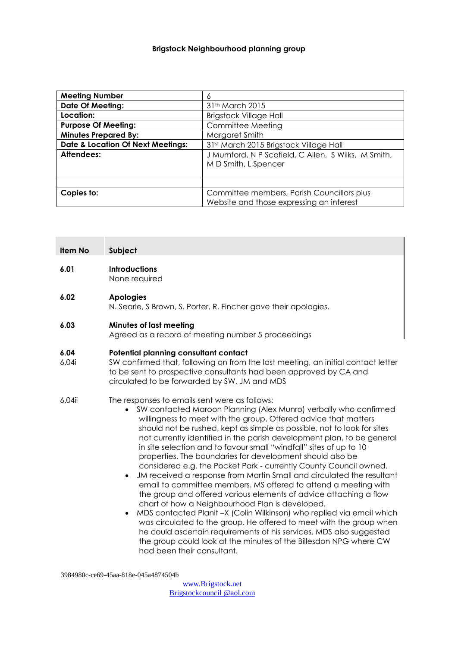## **Brigstock Neighbourhood planning group**

| <b>Meeting Number</b>                        | 6                                                                                      |  |
|----------------------------------------------|----------------------------------------------------------------------------------------|--|
| <b>Date Of Meeting:</b>                      | 31 <sup>th</sup> March 2015                                                            |  |
| Location:                                    | <b>Brigstock Village Hall</b>                                                          |  |
| <b>Purpose Of Meeting:</b>                   | Committee Meeting                                                                      |  |
| <b>Minutes Prepared By:</b>                  | Margaret Smith                                                                         |  |
| <b>Date &amp; Location Of Next Meetings:</b> | 31st March 2015 Brigstock Village Hall                                                 |  |
| Attendees:                                   | J Mumford, N P Scofield, C Allen, S Wilks, M Smith,<br>M D Smith, L Spencer            |  |
|                                              |                                                                                        |  |
| Copies to:                                   | Committee members, Parish Councillors plus<br>Website and those expressing an interest |  |

| <b>Item No</b> | Subject                                                                                                                                                                                                                                                                                                                                                                                                                                                                                                                                                                                                                                                                                                                                                                                                                                                                                                                                                                            |  |
|----------------|------------------------------------------------------------------------------------------------------------------------------------------------------------------------------------------------------------------------------------------------------------------------------------------------------------------------------------------------------------------------------------------------------------------------------------------------------------------------------------------------------------------------------------------------------------------------------------------------------------------------------------------------------------------------------------------------------------------------------------------------------------------------------------------------------------------------------------------------------------------------------------------------------------------------------------------------------------------------------------|--|
| 6.01           | <b>Introductions</b><br>None required                                                                                                                                                                                                                                                                                                                                                                                                                                                                                                                                                                                                                                                                                                                                                                                                                                                                                                                                              |  |
| 6.02           | <b>Apologies</b><br>N. Searle, S Brown, S. Porter, R. Fincher gave their apologies.                                                                                                                                                                                                                                                                                                                                                                                                                                                                                                                                                                                                                                                                                                                                                                                                                                                                                                |  |
| 6.03           | <b>Minutes of last meeting</b><br>Agreed as a record of meeting number 5 proceedings                                                                                                                                                                                                                                                                                                                                                                                                                                                                                                                                                                                                                                                                                                                                                                                                                                                                                               |  |
| 6.04<br>6.04i  | Potential planning consultant contact<br>SW confirmed that, following on from the last meeting, an initial contact letter<br>to be sent to prospective consultants had been approved by CA and<br>circulated to be forwarded by SW, JM and MDS                                                                                                                                                                                                                                                                                                                                                                                                                                                                                                                                                                                                                                                                                                                                     |  |
| 6.04ii         | The responses to emails sent were as follows:<br>SW contacted Maroon Planning (Alex Munro) verbally who confirmed<br>willingness to meet with the group. Offered advice that matters<br>should not be rushed, kept as simple as possible, not to look for sites<br>not currently identified in the parish development plan, to be general<br>in site selection and to favour small "windfall" sites of up to 10<br>properties. The boundaries for development should also be<br>considered e.g. the Pocket Park - currently County Council owned.<br>JM received a response from Martin Small and circulated the resultant<br>$\bullet$<br>email to committee members. MS offered to attend a meeting with<br>the group and offered various elements of advice attaching a flow<br>chart of how a Neighbourhood Plan is developed.<br>MDS contacted Planit -X (Colin Wilkinson) who replied via email which<br>was circulated to the group. He offered to meet with the group when |  |

was circulated to the group. He offered to meet with the group when he could ascertain requirements of his services. MDS also suggested the group could look at the minutes of the Billesdon NPG where CW had been their consultant.

3984980c-ce69-45aa-818e-045a4874504b

[www.Brigstock.net](http://www.brigstock.net/) Brigstockcouncil @aol.com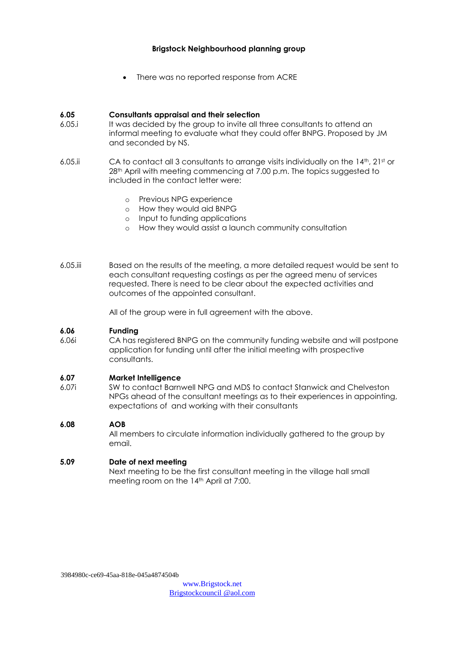## **Brigstock Neighbourhood planning group**

There was no reported response from ACRE

## **6.05 Consultants appraisal and their selection**

- 6.05.i It was decided by the group to invite all three consultants to attend an informal meeting to evaluate what they could offer BNPG. Proposed by JM and seconded by NS.
- 6.05.ii CA to contact all 3 consultants to arrange visits individually on the 14th, 21st or 28<sup>th</sup> April with meeting commencing at 7.00 p.m. The topics suggested to included in the contact letter were:
	- o Previous NPG experience
	- o How they would aid BNPG
	- o Input to funding applications
	- o How they would assist a launch community consultation
- 6.05.iii Based on the results of the meeting, a more detailed request would be sent to each consultant requesting costings as per the agreed menu of services requested. There is need to be clear about the expected activities and outcomes of the appointed consultant.

All of the group were in full agreement with the above.

#### **6.06 Funding**

6.06i CA has registered BNPG on the community funding website and will postpone application for funding until after the initial meeting with prospective consultants.

#### **6.07 Market Intelligence**

6.07i SW to contact Barnwell NPG and MDS to contact Stanwick and Chelveston NPGs ahead of the consultant meetings as to their experiences in appointing, expectations of and working with their consultants

#### **6.08 AOB**

All members to circulate information individually gathered to the group by email.

#### **5.09 Date of next meeting**

Next meeting to be the first consultant meeting in the village hall small meeting room on the 14<sup>th</sup> April at 7:00.

3984980c-ce69-45aa-818e-045a4874504b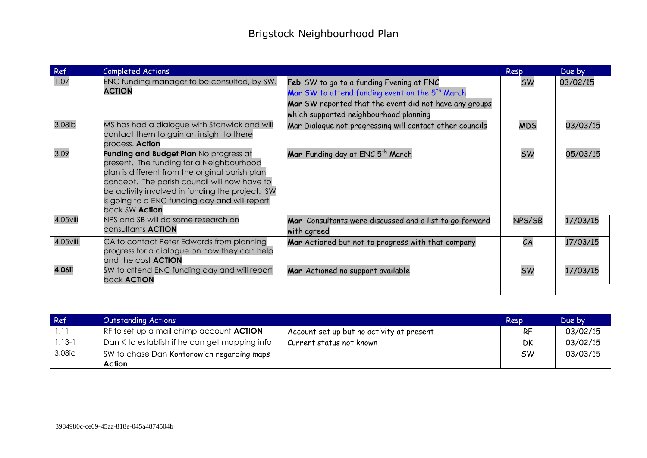| Ref           | Completed Actions                                                                                                                                                                                                                                                                                           |                                                                                                                                                                                                             | Resp       | Due by   |
|---------------|-------------------------------------------------------------------------------------------------------------------------------------------------------------------------------------------------------------------------------------------------------------------------------------------------------------|-------------------------------------------------------------------------------------------------------------------------------------------------------------------------------------------------------------|------------|----------|
| 1.07          | ENC funding manager to be consulted, by SW.<br><b>ACTION</b>                                                                                                                                                                                                                                                | Feb SW to go to a funding Evening at ENC<br>Mar SW to attend funding event on the 5 <sup>th</sup> March<br>Mar SW reported that the event did not have any groups<br>which supported neighbourhood planning | <b>SW</b>  | 03/02/15 |
| 3.08ib        | MS has had a dialogue with Stanwick and will<br>contact them to gain an insight to there<br>process. <b>Action</b>                                                                                                                                                                                          | Mar Dialogue not progressing will contact other councils                                                                                                                                                    | <b>MDS</b> | 03/03/15 |
| 3.09          | Funding and Budget Plan No progress at<br>present. The funding for a Neighbourhood<br>plan is different from the original parish plan<br>concept. The parish council will now have to<br>be activity involved in funding the project. SW<br>is going to a ENC funding day and will report<br>back SW Action | Mar Funding day at ENC 5 <sup>th</sup> March                                                                                                                                                                | <b>SW</b>  | 05/03/15 |
| $4.05$ viii   | NPS and SB will do some research on<br>consultants <b>ACTION</b>                                                                                                                                                                                                                                            | Mar Consultants were discussed and a list to go forward<br>with agreed                                                                                                                                      | NPS/SB     | 17/03/15 |
| 4.05viiii     | CA to contact Peter Edwards from planning<br>progress for a dialogue on how they can help<br>and the cost <b>ACTION</b>                                                                                                                                                                                     | Mar Actioned but not to progress with that company                                                                                                                                                          | CA         | 17/03/15 |
| <b>4.06ii</b> | SW to attend ENC funding day and will report<br>back <b>ACTION</b>                                                                                                                                                                                                                                          | Mar Actioned no support available                                                                                                                                                                           | <b>SW</b>  | 17/03/15 |
|               |                                                                                                                                                                                                                                                                                                             |                                                                                                                                                                                                             |            |          |

| Ref        | <b>Outstanding Actions</b>                      |                                           | Resp      | Due by   |
|------------|-------------------------------------------------|-------------------------------------------|-----------|----------|
|            | RF to set up a mail chimp account <b>ACTION</b> | Account set up but no activity at present | RF        | 03/02/15 |
| $1.13 - 1$ | Dan K to establish if he can get mapping info   | Current status not known                  | <b>DK</b> | 03/02/15 |
| 3.08ic     | SW to chase Dan Kontorowich regarding maps      |                                           | <b>SW</b> | 03/03/15 |
|            | Action                                          |                                           |           |          |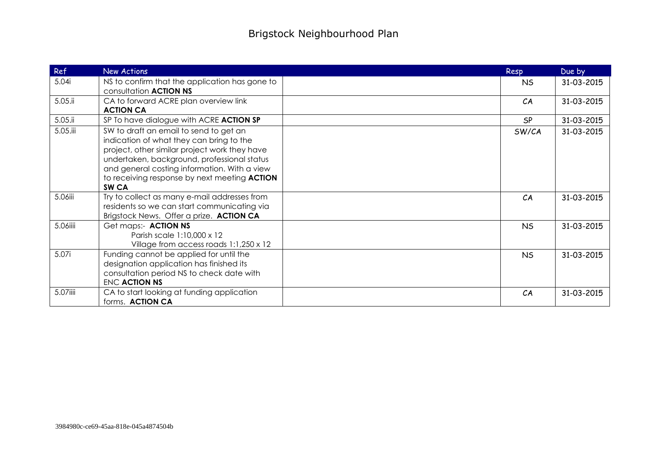| Ref        | <b>New Actions</b>                                                                                                                                                                                                                                                                                            | Resp      | Due by     |
|------------|---------------------------------------------------------------------------------------------------------------------------------------------------------------------------------------------------------------------------------------------------------------------------------------------------------------|-----------|------------|
| 5.04i      | NS to confirm that the application has gone to<br>consultation <b>ACTION NS</b>                                                                                                                                                                                                                               | <b>NS</b> | 31-03-2015 |
| 5.05.ii    | CA to forward ACRE plan overview link<br><b>ACTION CA</b>                                                                                                                                                                                                                                                     | CA        | 31-03-2015 |
| $5.05$ .ii | SP To have dialogue with ACRE ACTION SP                                                                                                                                                                                                                                                                       | SP        | 31-03-2015 |
| 5.05.iii   | SW to draft an email to send to get an<br>indication of what they can bring to the<br>project, other similar project work they have<br>undertaken, background, professional status<br>and general costing information. With a view<br>to receiving response by next meeting <b>ACTION</b><br>SW <sub>CA</sub> | SW/CA     | 31-03-2015 |
| 5.06iii    | Try to collect as many e-mail addresses from<br>residents so we can start communicating via<br>Brigstock News. Offer a prize. ACTION CA                                                                                                                                                                       | CA        | 31-03-2015 |
| 5.06iiii   | Get maps:- ACTION NS<br>Parish scale 1:10,000 x 12<br>Village from access roads 1:1,250 x 12                                                                                                                                                                                                                  | <b>NS</b> | 31-03-2015 |
| 5.07i      | Funding cannot be applied for until the<br>designation application has finished its<br>consultation period NS to check date with<br>ENC ACTION NS                                                                                                                                                             | <b>NS</b> | 31-03-2015 |
| 5.07iiii   | CA to start looking at funding application<br>forms. ACTION CA                                                                                                                                                                                                                                                | CA        | 31-03-2015 |